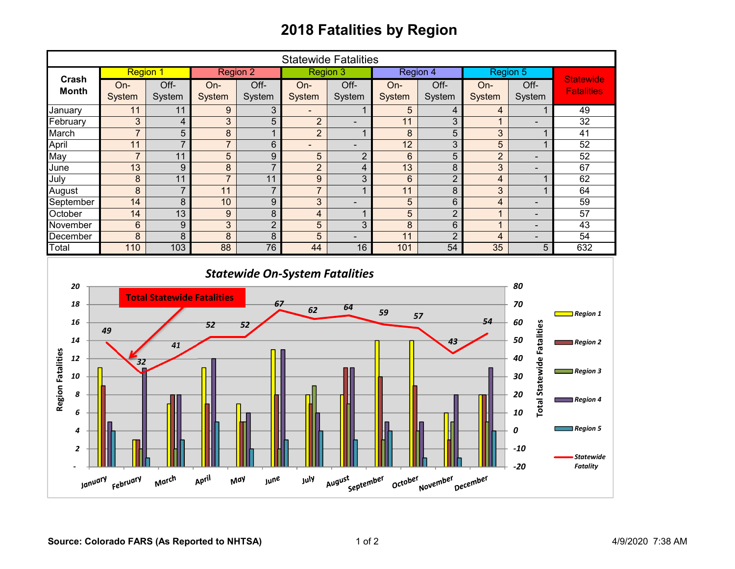## **2018 Fatalities by Region**

| <b>Statewide Fatalities</b>                                                                                                           |                 |                                         |                  |                |                  |                |                |                 |                         |                                                                       |                                                                                           |
|---------------------------------------------------------------------------------------------------------------------------------------|-----------------|-----------------------------------------|------------------|----------------|------------------|----------------|----------------|-----------------|-------------------------|-----------------------------------------------------------------------|-------------------------------------------------------------------------------------------|
|                                                                                                                                       | <b>Region 1</b> |                                         | <b>Region 2</b>  |                | <b>Region 3</b>  |                | Region 4       |                 | <b>Region 5</b>         |                                                                       |                                                                                           |
| Crash<br><b>Month</b>                                                                                                                 | On-             | Off-                                    | On-              | $Off$ -        | On-              | $Off$ -        | On-            | Off-            | On-                     | Off-                                                                  | <b>Statewide</b><br><b>Fatalities</b>                                                     |
|                                                                                                                                       | System          | System                                  | System           | System         | System           | System         | System         | System          | System                  | System                                                                |                                                                                           |
| January                                                                                                                               | 11              | 11                                      | $9\,$            | 3              | $\blacksquare$   | $\mathbf{1}$   | 5              | 4               | $\overline{4}$          | 1                                                                     | 49                                                                                        |
| February                                                                                                                              | 3               | $\overline{\mathbf{4}}$                 | 3                | $\overline{5}$ | $\overline{2}$   | $\blacksquare$ | 11             | 3               | $\mathbf{1}$            | $\overline{\phantom{0}}$                                              | 32                                                                                        |
| March                                                                                                                                 | $\overline{7}$  | $\overline{5}$                          | $\overline{8}$   | $\mathbf{1}$   | $\overline{2}$   | $\mathbf{1}$   | 8              | $\overline{5}$  | 3                       | $\mathbf{1}$                                                          | $\overline{41}$                                                                           |
| April                                                                                                                                 | 11              | $\overline{7}$                          | $\overline{7}$   | 6              | $\blacksquare$   | $\blacksquare$ | 12             | 3               | 5                       | $\overline{1}$                                                        | 52                                                                                        |
| May                                                                                                                                   | $\overline{7}$  | 11                                      | $\overline{5}$   | $\overline{9}$ | 5                | $\overline{2}$ | $6\phantom{a}$ | $\overline{5}$  | $\overline{2}$          | $\overline{\phantom{m}}$                                              | 52                                                                                        |
| June                                                                                                                                  | 13              | $\boldsymbol{9}$                        | $\overline{8}$   | $\overline{7}$ | $\overline{2}$   | $\overline{4}$ | 13             | 8               | 3                       | ÷                                                                     | 67                                                                                        |
| July                                                                                                                                  | 8               | 11                                      | $\overline{7}$   | 11             | $\boldsymbol{9}$ | $\overline{3}$ | $6\phantom{1}$ | $\overline{2}$  | $\overline{\mathbf{4}}$ | $\mathbf 1$                                                           | 62                                                                                        |
| August                                                                                                                                | $\overline{8}$  | $\overline{7}$                          | $\overline{11}$  | $\overline{7}$ | $\overline{7}$   | $\mathbf{1}$   | 11             | $\overline{8}$  | $\overline{3}$          | $\mathbf{1}$                                                          | 64                                                                                        |
| September                                                                                                                             | 14              | $\overline{8}$                          | 10               | $\overline{9}$ | $\overline{3}$   | $\frac{1}{2}$  | $\overline{5}$ | $\overline{6}$  | $\overline{\mathbf{4}}$ | $\frac{1}{2}$                                                         | 59                                                                                        |
| October                                                                                                                               | $\overline{14}$ | $\overline{13}$                         | $\boldsymbol{9}$ | $\overline{8}$ | $\overline{4}$   | $\mathbf{1}$   | $\overline{5}$ | $\overline{2}$  | $\mathbf{1}$            | $\overline{\phantom{a}}$                                              | $\overline{57}$                                                                           |
| November                                                                                                                              | $\,6$           | 9                                       | 3                | $\overline{2}$ | 5                | 3              | 8              | $6\phantom{1}6$ | $\mathbf{1}$            | $\overline{\phantom{a}}$                                              | 43                                                                                        |
| December                                                                                                                              | 8               | 8                                       | 8                | $\overline{8}$ | 5                | $\blacksquare$ | 11             | $\overline{2}$  | $\overline{4}$          | $\overline{\phantom{0}}$                                              | $\overline{54}$                                                                           |
| Total                                                                                                                                 | 110             | 103                                     | 88               | 76             | 44               | 16             | 101            | 54              | 35                      | 5                                                                     | 632                                                                                       |
| 20<br>18<br>16<br>14<br><b>Region Fatalities</b><br>12<br>10                                                                          | 49<br>32        | <b>Total Statewide Fatalities</b><br>41 | 52               | 67<br>52       | 62               | 64             | 59             | 57              | 54                      | 80<br>70<br>60<br><b>Total Statewide Fatalities</b><br>50<br>40<br>30 | $\Box$ Region 1<br>$\blacksquare$ Region 2<br>$\Box$ Region 3                             |
| 8<br>6<br>4<br>2                                                                                                                      |                 |                                         |                  |                |                  |                |                |                 |                         | 20<br>10<br>0<br>$-10$<br>$-20$                                       | $\blacksquare$ Region 4<br>$\blacksquare$ Region 5<br><b>Statewide</b><br><b>Fatality</b> |
| April<br>March<br>August<br>July<br>September<br>October<br>January <sub>February</sub><br><b>June</b><br>November<br>December<br>May |                 |                                         |                  |                |                  |                |                |                 |                         |                                                                       |                                                                                           |